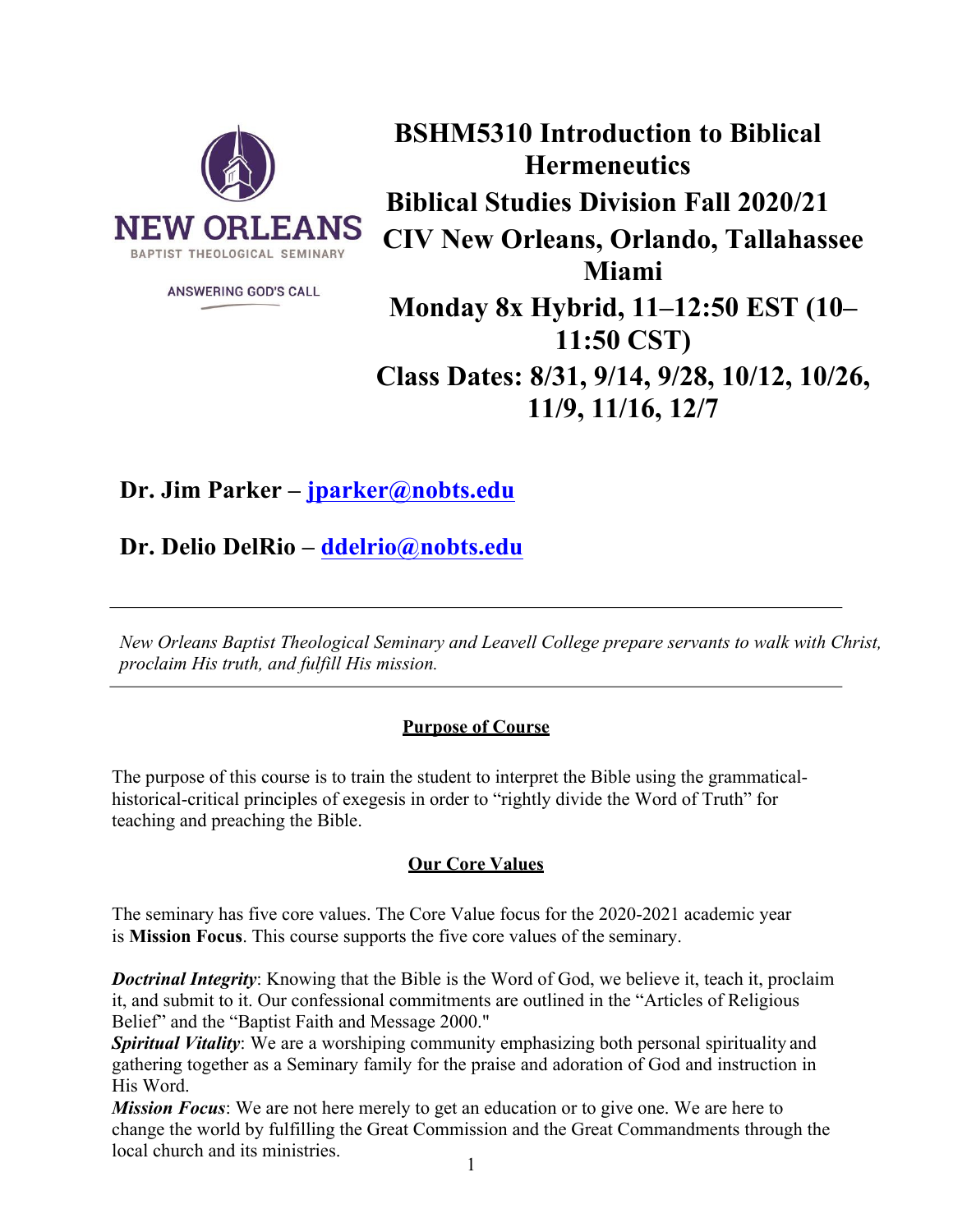

**ANSWERING GOD'S CALL** 

**BSHM5310 Introduction to Biblical Hermeneutics Biblical Studies Division Fall 2020/21 CIV New Orleans, Orlando, Tallahassee Miami Monday 8x Hybrid, 11–12:50 EST (10– 11:50 CST) Class Dates: 8/31, 9/14, 9/28, 10/12, 10/26, 11/9, 11/16, 12/7**

# **Dr. Jim Parker – jparker@nobts.edu**

**Dr. Delio DelRio – ddelrio@nobts.edu**

*New Orleans Baptist Theological Seminary and Leavell College prepare servants to walk with Christ, proclaim His truth, and fulfill His mission.*

# **Purpose of Course**

The purpose of this course is to train the student to interpret the Bible using the grammaticalhistorical-critical principles of exegesis in order to "rightly divide the Word of Truth" for teaching and preaching the Bible.

# **Our Core Values**

The seminary has five core values. The Core Value focus for the 2020-2021 academic year is **Mission Focus**. This course supports the five core values of the seminary.

*Doctrinal Integrity*: Knowing that the Bible is the Word of God, we believe it, teach it, proclaim it, and submit to it. Our confessional commitments are outlined in the "Articles of Religious Belief" and the "Baptist Faith and Message 2000."

*Spiritual Vitality*: We are a worshiping community emphasizing both personal spirituality and gathering together as a Seminary family for the praise and adoration of God and instruction in His Word.

*Mission Focus*: We are not here merely to get an education or to give one. We are here to change the world by fulfilling the Great Commission and the Great Commandments through the local church and its ministries.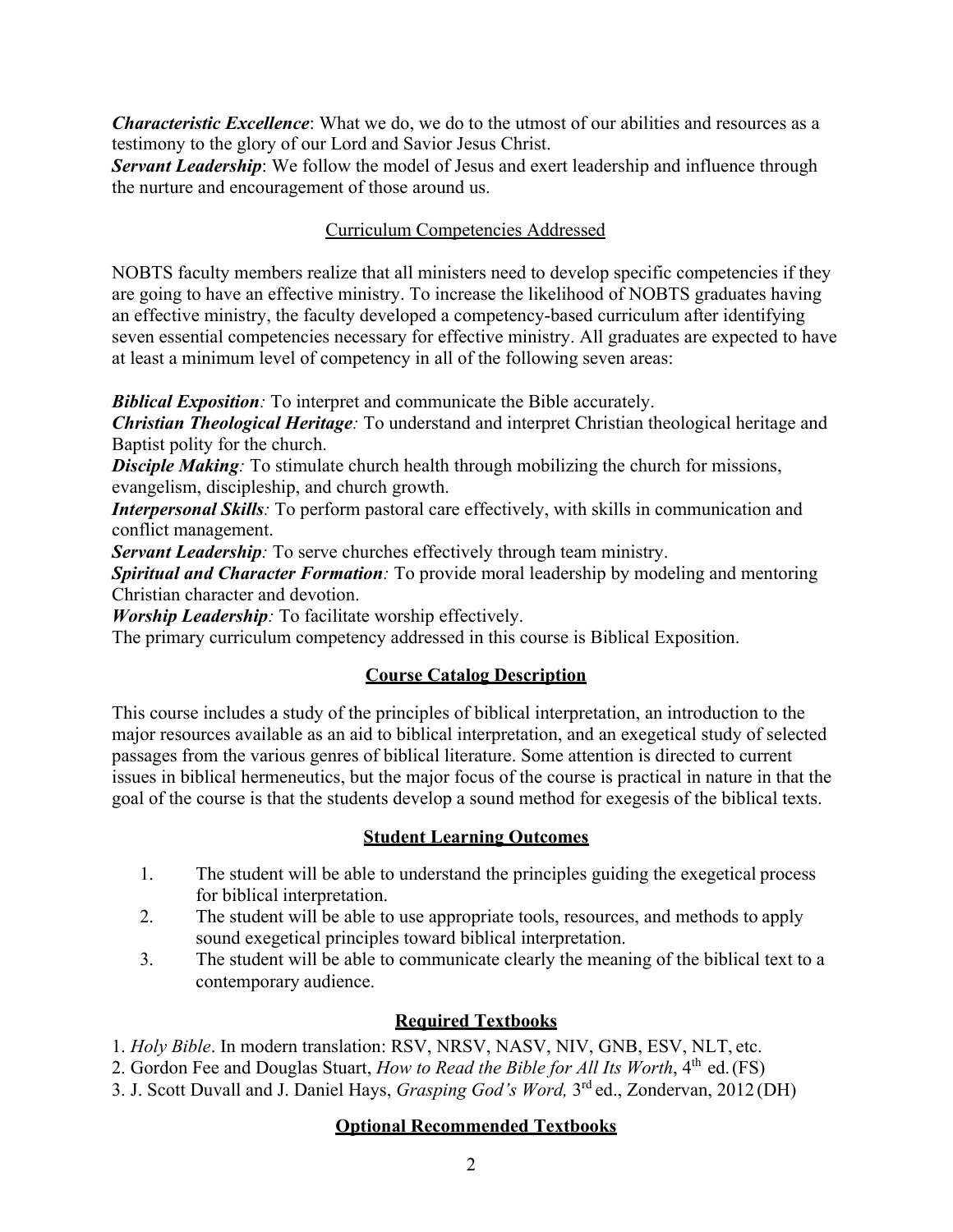*Characteristic Excellence*: What we do, we do to the utmost of our abilities and resources as a testimony to the glory of our Lord and Savior Jesus Christ.

**Servant Leadership**: We follow the model of Jesus and exert leadership and influence through the nurture and encouragement of those around us.

## Curriculum Competencies Addressed

NOBTS faculty members realize that all ministers need to develop specific competencies if they are going to have an effective ministry. To increase the likelihood of NOBTS graduates having an effective ministry, the faculty developed a competency-based curriculum after identifying seven essential competencies necessary for effective ministry. All graduates are expected to have at least a minimum level of competency in all of the following seven areas:

**Biblical Exposition**: To interpret and communicate the Bible accurately.

*Christian Theological Heritage:* To understand and interpret Christian theological heritage and Baptist polity for the church.

**Disciple Making**: To stimulate church health through mobilizing the church for missions, evangelism, discipleship, and church growth.

*Interpersonal Skills:* To perform pastoral care effectively, with skills in communication and conflict management.

*Servant Leadership*: To serve churches effectively through team ministry.

*Spiritual and Character Formation:* To provide moral leadership by modeling and mentoring Christian character and devotion.

*Worship Leadership:* To facilitate worship effectively.

The primary curriculum competency addressed in this course is Biblical Exposition.

# **Course Catalog Description**

This course includes a study of the principles of biblical interpretation, an introduction to the major resources available as an aid to biblical interpretation, and an exegetical study of selected passages from the various genres of biblical literature. Some attention is directed to current issues in biblical hermeneutics, but the major focus of the course is practical in nature in that the goal of the course is that the students develop a sound method for exegesis of the biblical texts.

### **Student Learning Outcomes**

- 1. The student will be able to understand the principles guiding the exegetical process for biblical interpretation.
- 2. The student will be able to use appropriate tools, resources, and methods to apply sound exegetical principles toward biblical interpretation.
- 3. The student will be able to communicate clearly the meaning of the biblical text to a contemporary audience.

# **Required Textbooks**

1. *Holy Bible*. In modern translation: RSV, NRSV, NASV, NIV, GNB, ESV, NLT, etc.

2. Gordon Fee and Douglas Stuart, *How to Read the Bible for All Its Worth*,  $4<sup>th</sup>$  ed.(FS)

3. J. Scott Duvall and J. Daniel Hays, *Grasping God's Word,* 3rd ed., Zondervan, 2012 (DH)

# **Optional Recommended Textbooks**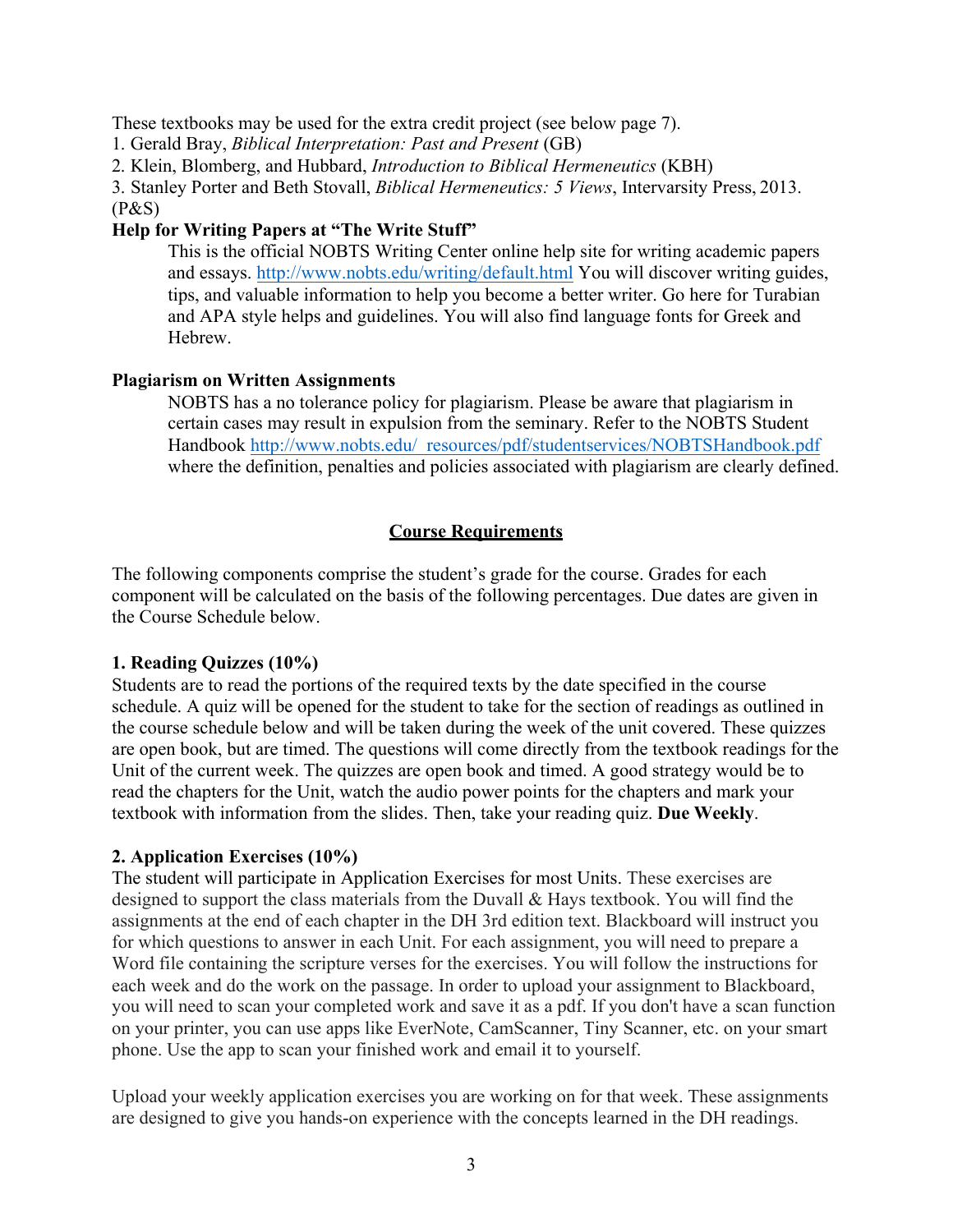These textbooks may be used for the extra credit project (see below page 7).

1. Gerald Bray, *Biblical Interpretation: Past and Present* (GB)

2. Klein, Blomberg, and Hubbard, *Introduction to Biblical Hermeneutics* (KBH)

3. Stanley Porter and Beth Stovall, *Biblical Hermeneutics: 5 Views*, Intervarsity Press, 2013.

(P&S)

### **Help for Writing Papers at "The Write Stuff"**

This is the official NOBTS Writing Center online help site for writing academic papers and essays. http://www.nobts.edu/writing/default.html You will discover writing guides, tips, and valuable information to help you become a better writer. Go here for Turabian and APA style helps and guidelines. You will also find language fonts for Greek and Hebrew.

### **Plagiarism on Written Assignments**

NOBTS has a no tolerance policy for plagiarism. Please be aware that plagiarism in certain cases may result in expulsion from the seminary. Refer to the NOBTS Student Handbook http://www.nobts.edu/\_resources/pdf/studentservices/NOBTSHandbook.pdf where the definition, penalties and policies associated with plagiarism are clearly defined.

### **Course Requirements**

The following components comprise the student's grade for the course. Grades for each component will be calculated on the basis of the following percentages. Due dates are given in the Course Schedule below.

### **1. Reading Quizzes (10%)**

Students are to read the portions of the required texts by the date specified in the course schedule. A quiz will be opened for the student to take for the section of readings as outlined in the course schedule below and will be taken during the week of the unit covered. These quizzes are open book, but are timed. The questions will come directly from the textbook readings for the Unit of the current week. The quizzes are open book and timed. A good strategy would be to read the chapters for the Unit, watch the audio power points for the chapters and mark your textbook with information from the slides. Then, take your reading quiz. **Due Weekly**.

### **2. Application Exercises (10%)**

The student will participate in Application Exercises for most Units. These exercises are designed to support the class materials from the Duvall & Hays textbook. You will find the assignments at the end of each chapter in the DH 3rd edition text. Blackboard will instruct you for which questions to answer in each Unit. For each assignment, you will need to prepare a Word file containing the scripture verses for the exercises. You will follow the instructions for each week and do the work on the passage. In order to upload your assignment to Blackboard, you will need to scan your completed work and save it as a pdf. If you don't have a scan function on your printer, you can use apps like EverNote, CamScanner, Tiny Scanner, etc. on your smart phone. Use the app to scan your finished work and email it to yourself.

Upload your weekly application exercises you are working on for that week. These assignments are designed to give you hands-on experience with the concepts learned in the DH readings.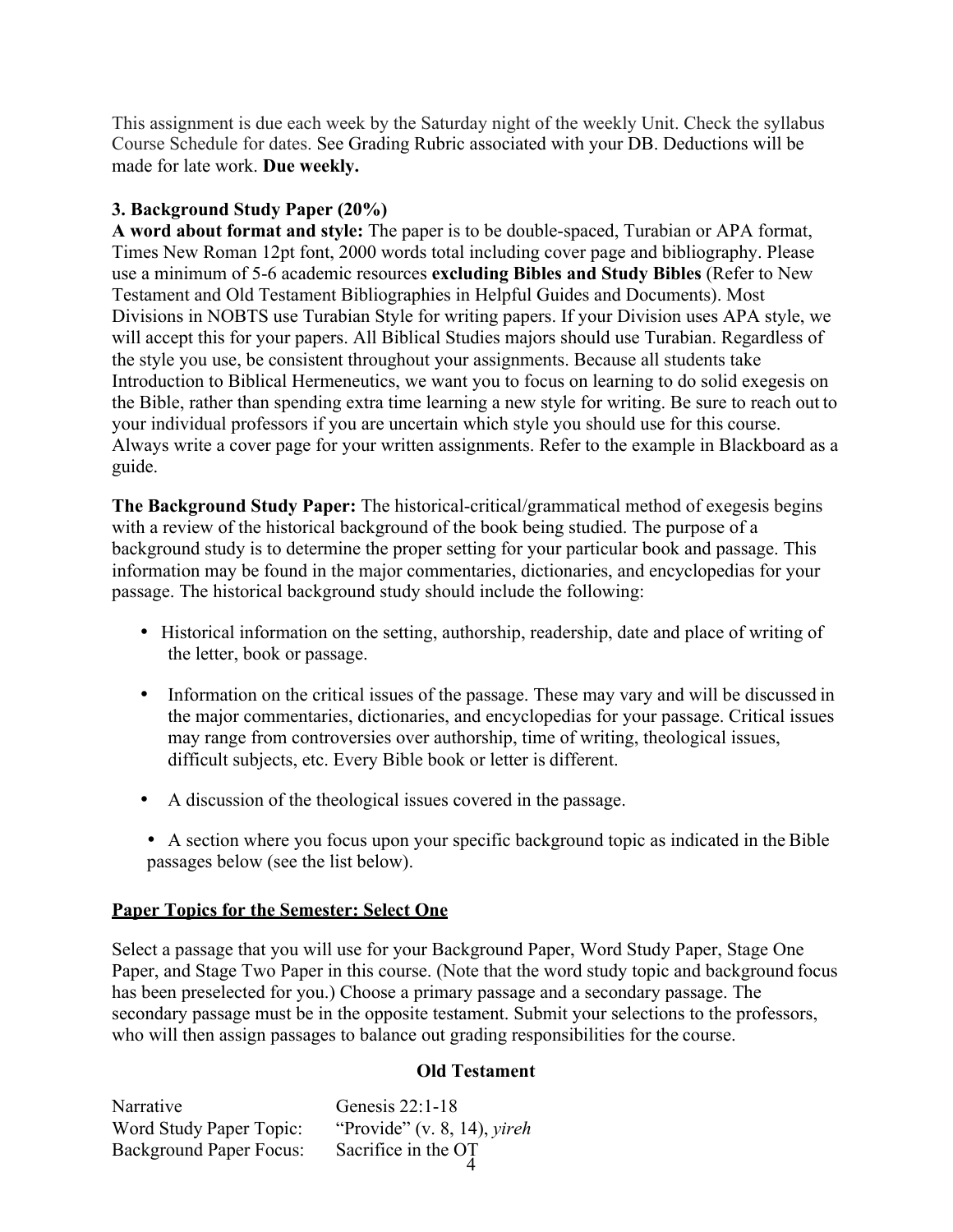This assignment is due each week by the Saturday night of the weekly Unit. Check the syllabus Course Schedule for dates. See Grading Rubric associated with your DB. Deductions will be made for late work. **Due weekly.**

### **3. Background Study Paper (20%)**

**A word about format and style:** The paper is to be double-spaced, Turabian or APA format, Times New Roman 12pt font, 2000 words total including cover page and bibliography. Please use a minimum of 5-6 academic resources **excluding Bibles and Study Bibles** (Refer to New Testament and Old Testament Bibliographies in Helpful Guides and Documents). Most Divisions in NOBTS use Turabian Style for writing papers. If your Division uses APA style, we will accept this for your papers. All Biblical Studies majors should use Turabian. Regardless of the style you use, be consistent throughout your assignments. Because all students take Introduction to Biblical Hermeneutics, we want you to focus on learning to do solid exegesis on the Bible, rather than spending extra time learning a new style for writing. Be sure to reach out to your individual professors if you are uncertain which style you should use for this course. Always write a cover page for your written assignments. Refer to the example in Blackboard as a guide.

**The Background Study Paper:** The historical-critical/grammatical method of exegesis begins with a review of the historical background of the book being studied. The purpose of a background study is to determine the proper setting for your particular book and passage. This information may be found in the major commentaries, dictionaries, and encyclopedias for your passage. The historical background study should include the following:

- Historical information on the setting, authorship, readership, date and place of writing of the letter, book or passage.
- Information on the critical issues of the passage. These may vary and will be discussed in the major commentaries, dictionaries, and encyclopedias for your passage. Critical issues may range from controversies over authorship, time of writing, theological issues, difficult subjects, etc. Every Bible book or letter is different.
- A discussion of the theological issues covered in the passage.
- A section where you focus upon your specific background topic as indicated in the Bible passages below (see the list below).

### **Paper Topics for the Semester: Select One**

Select a passage that you will use for your Background Paper, Word Study Paper, Stage One Paper, and Stage Two Paper in this course. (Note that the word study topic and background focus has been preselected for you.) Choose a primary passage and a secondary passage. The secondary passage must be in the opposite testament. Submit your selections to the professors, who will then assign passages to balance out grading responsibilities for the course.

### **Old Testament**

| Narrative                      | Genesis 22:1-18                    |
|--------------------------------|------------------------------------|
| Word Study Paper Topic:        | "Provide" (v. 8, 14), <i>yireh</i> |
| <b>Background Paper Focus:</b> | Sacrifice in the OT                |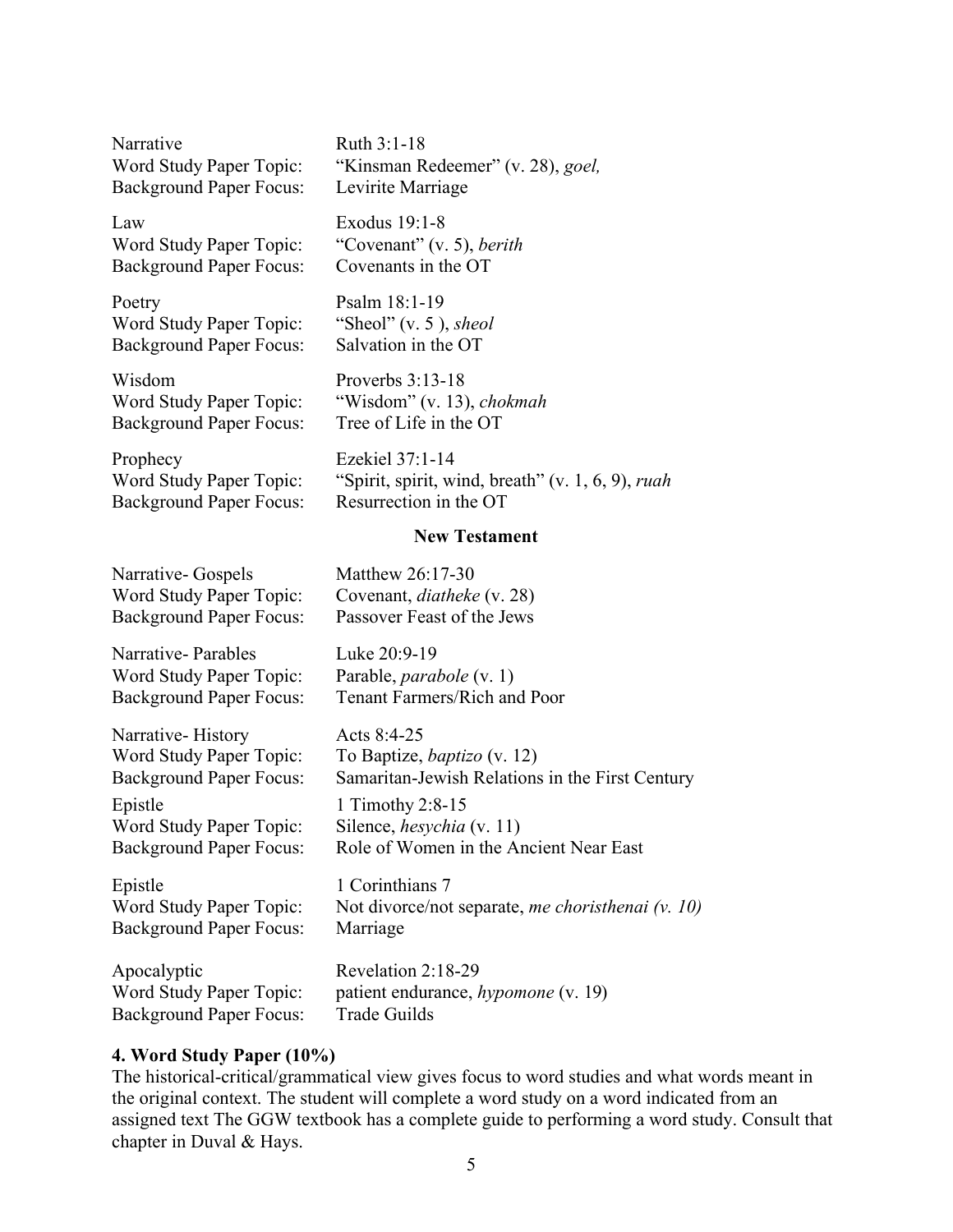Narrative Ruth 3:1-18 Background Paper Focus: Levirite Marriage

Law Exodus 19:1-8 Word Study Paper Topic: "Covenant" (v. 5), *berith* Background Paper Focus: Covenants in the OT

Poetry Psalm 18:1-19 Word Study Paper Topic: "Sheol" (v. 5), *sheol*<br>Background Paper Focus: Salvation in the OT Background Paper Focus:

Wisdom Proverbs 3:13-18 Background Paper Focus:

Prophecy Ezekiel 37:1-14 Background Paper Focus:

Word Study Paper Topic: "Kinsman Redeemer" (v. 28), *goel,*

Word Study Paper Topic: "Wisdom" (v. 13), *chokmah*<br>Background Paper Focus: Tree of Life in the OT

Covenant, *diatheke* (v. 28)

Word Study Paper Topic: "Spirit, spirit, wind, breath" (v. 1, 6, 9), *ruah* Background Paper Focus: Resurrection in the OT

Samaritan-Jewish Relations in the First Century

Role of Women in the Ancient Near East

#### **New Testament**

Narrative- Gospels Matthew 26:17-30<br>Word Study Paper Topic: Covenant, diatheke Background Paper Focus: Passover Feast of the Jews

Narrative- Parables Luke 20:9-19 Word Study Paper Topic: Parable, *parabole* (v. 1) Background Paper Focus: Tenant Farmers/Rich and Poor

Narrative-History Acts 8:4-25<br>Word Study Paper Topic: To Baptize, Word Study Paper Topic: To Baptize, *baptizo* (v. 12)<br>Background Paper Focus: Samaritan-Jewish Relations Epistle 1 Timothy 2:8-15<br>Word Study Paper Topic: Silence, *hesychia* (v. 11) Word Study Paper Topic:<br>Background Paper Focus:

Epistle 1 Corinthians 7 Word Study Paper Topic: Not divorce/not separate, *me choristhenai (v. 10)* Background Paper Focus: Marriage

Apocalyptic Revelation 2:18-29

Word Study Paper Topic: patient endurance, *hypomone* (v. 19) Background Paper Focus: Trade Guilds

### **4. Word Study Paper (10%)**

The historical-critical/grammatical view gives focus to word studies and what words meant in the original context. The student will complete a word study on a word indicated from an assigned text The GGW textbook has a complete guide to performing a word study. Consult that chapter in Duval & Hays.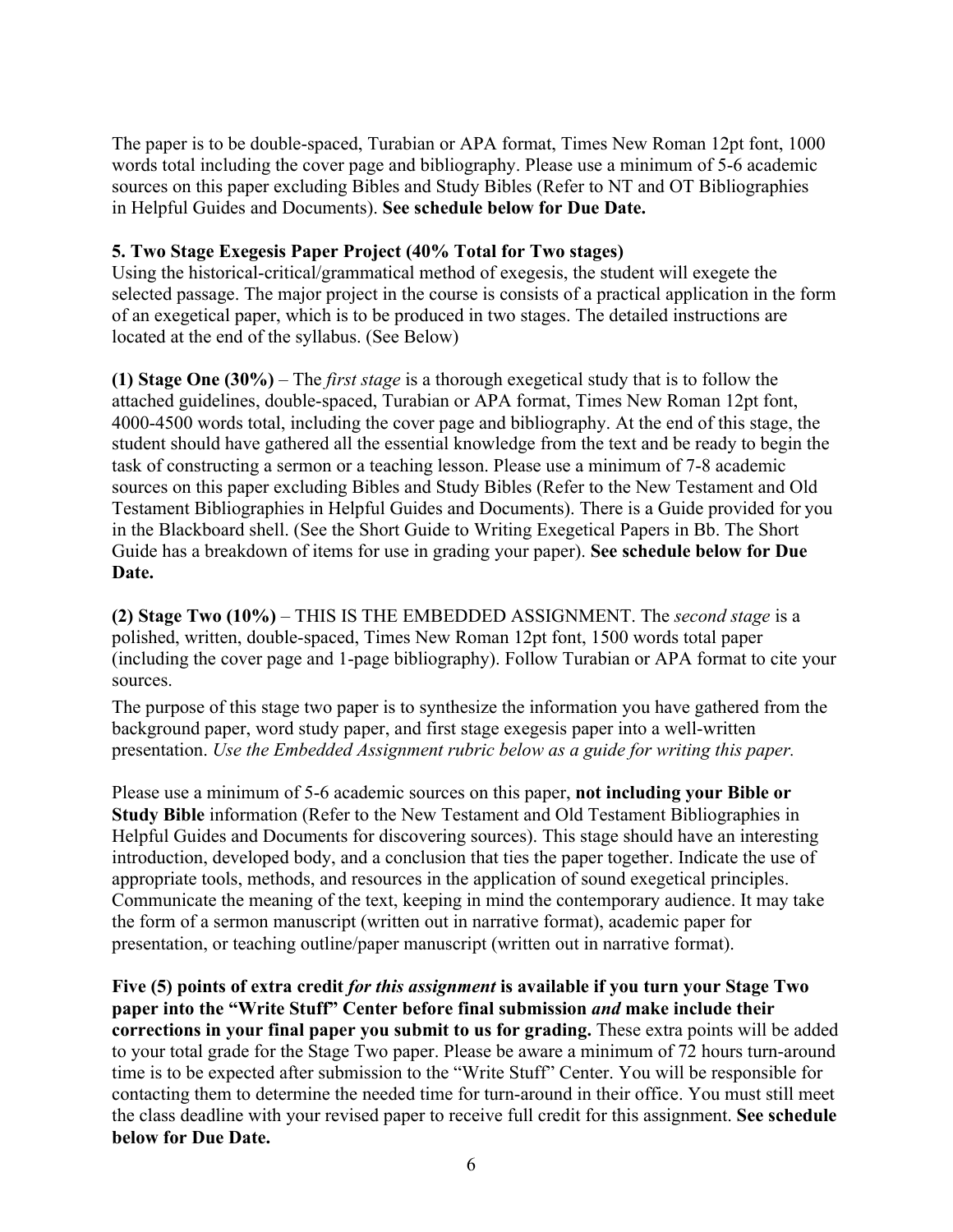The paper is to be double-spaced, Turabian or APA format, Times New Roman 12pt font, 1000 words total including the cover page and bibliography. Please use a minimum of 5-6 academic sources on this paper excluding Bibles and Study Bibles (Refer to NT and OT Bibliographies in Helpful Guides and Documents). **See schedule below for Due Date.**

### **5. Two Stage Exegesis Paper Project (40% Total for Two stages)**

Using the historical-critical/grammatical method of exegesis, the student will exegete the selected passage. The major project in the course is consists of a practical application in the form of an exegetical paper, which is to be produced in two stages. The detailed instructions are located at the end of the syllabus. (See Below)

**(1) Stage One (30%)** – The *first stage* is a thorough exegetical study that is to follow the attached guidelines, double-spaced, Turabian or APA format, Times New Roman 12pt font, 4000-4500 words total, including the cover page and bibliography. At the end of this stage, the student should have gathered all the essential knowledge from the text and be ready to begin the task of constructing a sermon or a teaching lesson. Please use a minimum of 7-8 academic sources on this paper excluding Bibles and Study Bibles (Refer to the New Testament and Old Testament Bibliographies in Helpful Guides and Documents). There is a Guide provided for you in the Blackboard shell. (See the Short Guide to Writing Exegetical Papers in Bb. The Short Guide has a breakdown of items for use in grading your paper). **See schedule below for Due Date.**

**(2) Stage Two (10%)** – THIS IS THE EMBEDDED ASSIGNMENT. The *second stage* is a polished, written, double-spaced, Times New Roman 12pt font, 1500 words total paper (including the cover page and 1-page bibliography). Follow Turabian or APA format to cite your sources.

The purpose of this stage two paper is to synthesize the information you have gathered from the background paper, word study paper, and first stage exegesis paper into a well-written presentation. *Use the Embedded Assignment rubric below as a guide for writing this paper.*

Please use a minimum of 5-6 academic sources on this paper, **not including your Bible or Study Bible** information (Refer to the New Testament and Old Testament Bibliographies in Helpful Guides and Documents for discovering sources). This stage should have an interesting introduction, developed body, and a conclusion that ties the paper together. Indicate the use of appropriate tools, methods, and resources in the application of sound exegetical principles. Communicate the meaning of the text, keeping in mind the contemporary audience. It may take the form of a sermon manuscript (written out in narrative format), academic paper for presentation, or teaching outline/paper manuscript (written out in narrative format).

**Five (5) points of extra credit** *for this assignment* **is available if you turn your Stage Two paper into the "Write Stuff" Center before final submission** *and* **make include their corrections in your final paper you submit to us for grading.** These extra points will be added to your total grade for the Stage Two paper. Please be aware a minimum of 72 hours turn-around time is to be expected after submission to the "Write Stuff" Center. You will be responsible for contacting them to determine the needed time for turn-around in their office. You must still meet the class deadline with your revised paper to receive full credit for this assignment. **See schedule below for Due Date.**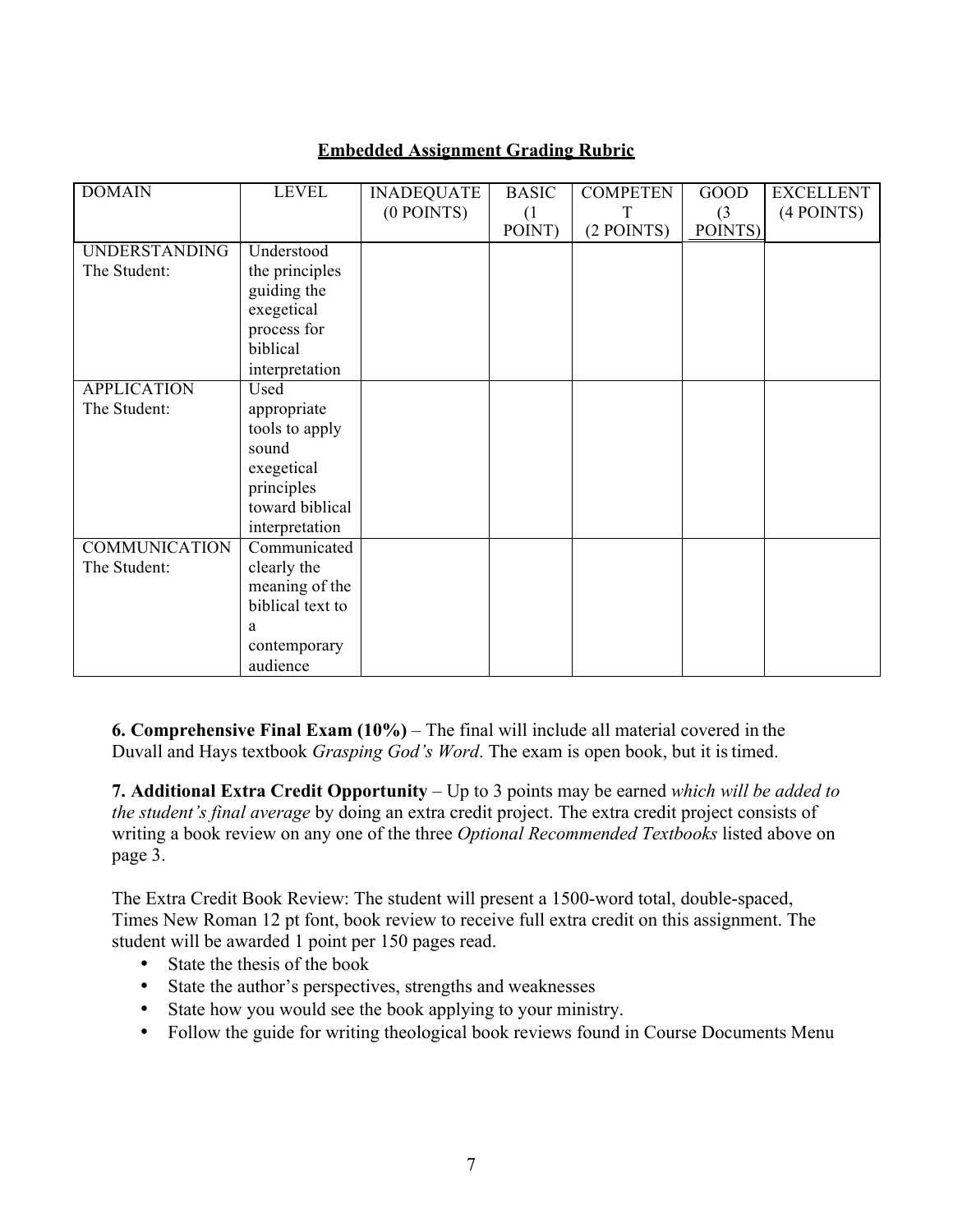### **Embedded Assignment Grading Rubric**

| <b>DOMAIN</b>        | <b>LEVEL</b>     | <b>INADEQUATE</b> | <b>BASIC</b> | <b>COMPETEN</b> | <b>GOOD</b> | <b>EXCELLENT</b> |
|----------------------|------------------|-------------------|--------------|-----------------|-------------|------------------|
|                      |                  | $(0$ POINTS)      | (1)          | т               | (3)         | $(4$ POINTS)     |
|                      |                  |                   | POINT)       | (2 POINTS)      | POINTS)     |                  |
| <b>UNDERSTANDING</b> | Understood       |                   |              |                 |             |                  |
| The Student:         | the principles   |                   |              |                 |             |                  |
|                      | guiding the      |                   |              |                 |             |                  |
|                      | exegetical       |                   |              |                 |             |                  |
|                      | process for      |                   |              |                 |             |                  |
|                      | biblical         |                   |              |                 |             |                  |
|                      | interpretation   |                   |              |                 |             |                  |
| <b>APPLICATION</b>   | Used             |                   |              |                 |             |                  |
| The Student:         | appropriate      |                   |              |                 |             |                  |
|                      | tools to apply   |                   |              |                 |             |                  |
|                      | sound            |                   |              |                 |             |                  |
|                      | exegetical       |                   |              |                 |             |                  |
|                      | principles       |                   |              |                 |             |                  |
|                      | toward biblical  |                   |              |                 |             |                  |
|                      | interpretation   |                   |              |                 |             |                  |
| <b>COMMUNICATION</b> | Communicated     |                   |              |                 |             |                  |
| The Student:         | clearly the      |                   |              |                 |             |                  |
|                      | meaning of the   |                   |              |                 |             |                  |
|                      | biblical text to |                   |              |                 |             |                  |
|                      | a                |                   |              |                 |             |                  |
|                      | contemporary     |                   |              |                 |             |                  |
|                      | audience         |                   |              |                 |             |                  |

**6. Comprehensive Final Exam (10%)** – The final will include all material covered in the Duvall and Hays textbook *Grasping God's Word*. The exam is open book, but it istimed.

**7. Additional Extra Credit Opportunity** – Up to 3 points may be earned *which will be added to the student's final average* by doing an extra credit project. The extra credit project consists of writing a book review on any one of the three *Optional Recommended Textbooks* listed above on page 3.

The Extra Credit Book Review: The student will present a 1500-word total, double-spaced, Times New Roman 12 pt font, book review to receive full extra credit on this assignment. The student will be awarded 1 point per 150 pages read.

- State the thesis of the book
- State the author's perspectives, strengths and weaknesses
- State how you would see the book applying to your ministry.
- Follow the guide for writing theological book reviews found in Course Documents Menu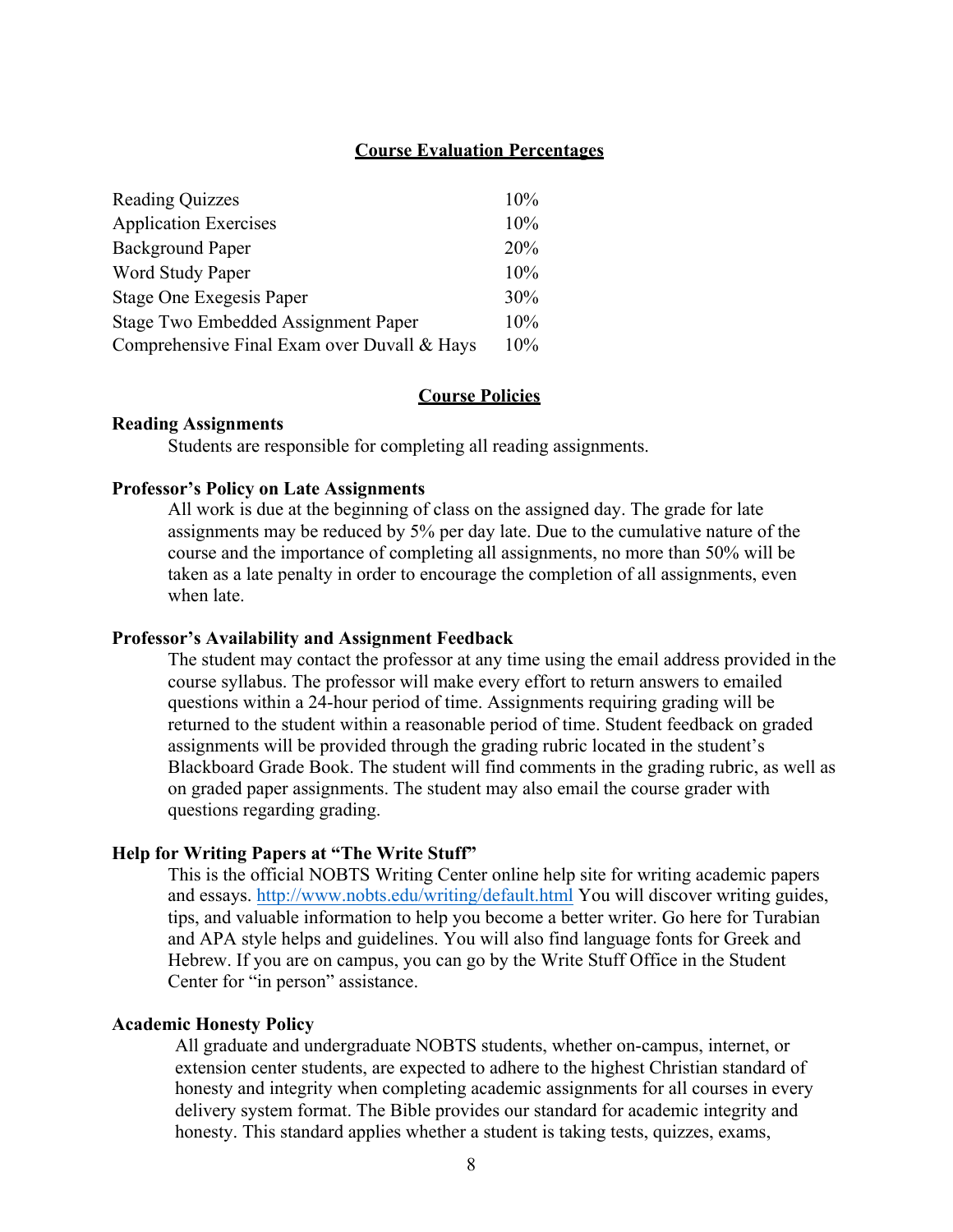#### **Course Evaluation Percentages**

| <b>Reading Quizzes</b>                      | 10% |
|---------------------------------------------|-----|
| <b>Application Exercises</b>                | 10% |
| <b>Background Paper</b>                     | 20% |
| Word Study Paper                            | 10% |
| Stage One Exegesis Paper                    | 30% |
| Stage Two Embedded Assignment Paper         | 10% |
| Comprehensive Final Exam over Duvall & Hays | 10% |

### **Course Policies**

#### **Reading Assignments**

Students are responsible for completing all reading assignments.

#### **Professor's Policy on Late Assignments**

All work is due at the beginning of class on the assigned day. The grade for late assignments may be reduced by 5% per day late. Due to the cumulative nature of the course and the importance of completing all assignments, no more than 50% will be taken as a late penalty in order to encourage the completion of all assignments, even when late.

#### **Professor's Availability and Assignment Feedback**

The student may contact the professor at any time using the email address provided in the course syllabus. The professor will make every effort to return answers to emailed questions within a 24-hour period of time. Assignments requiring grading will be returned to the student within a reasonable period of time. Student feedback on graded assignments will be provided through the grading rubric located in the student's Blackboard Grade Book. The student will find comments in the grading rubric, as well as on graded paper assignments. The student may also email the course grader with questions regarding grading.

#### **Help for Writing Papers at "The Write Stuff"**

This is the official NOBTS Writing Center online help site for writing academic papers and essays. http://www.nobts.edu/writing/default.html You will discover writing guides, tips, and valuable information to help you become a better writer. Go here for Turabian and APA style helps and guidelines. You will also find language fonts for Greek and Hebrew. If you are on campus, you can go by the Write Stuff Office in the Student Center for "in person" assistance.

#### **Academic Honesty Policy**

All graduate and undergraduate NOBTS students, whether on-campus, internet, or extension center students, are expected to adhere to the highest Christian standard of honesty and integrity when completing academic assignments for all courses in every delivery system format. The Bible provides our standard for academic integrity and honesty. This standard applies whether a student is taking tests, quizzes, exams,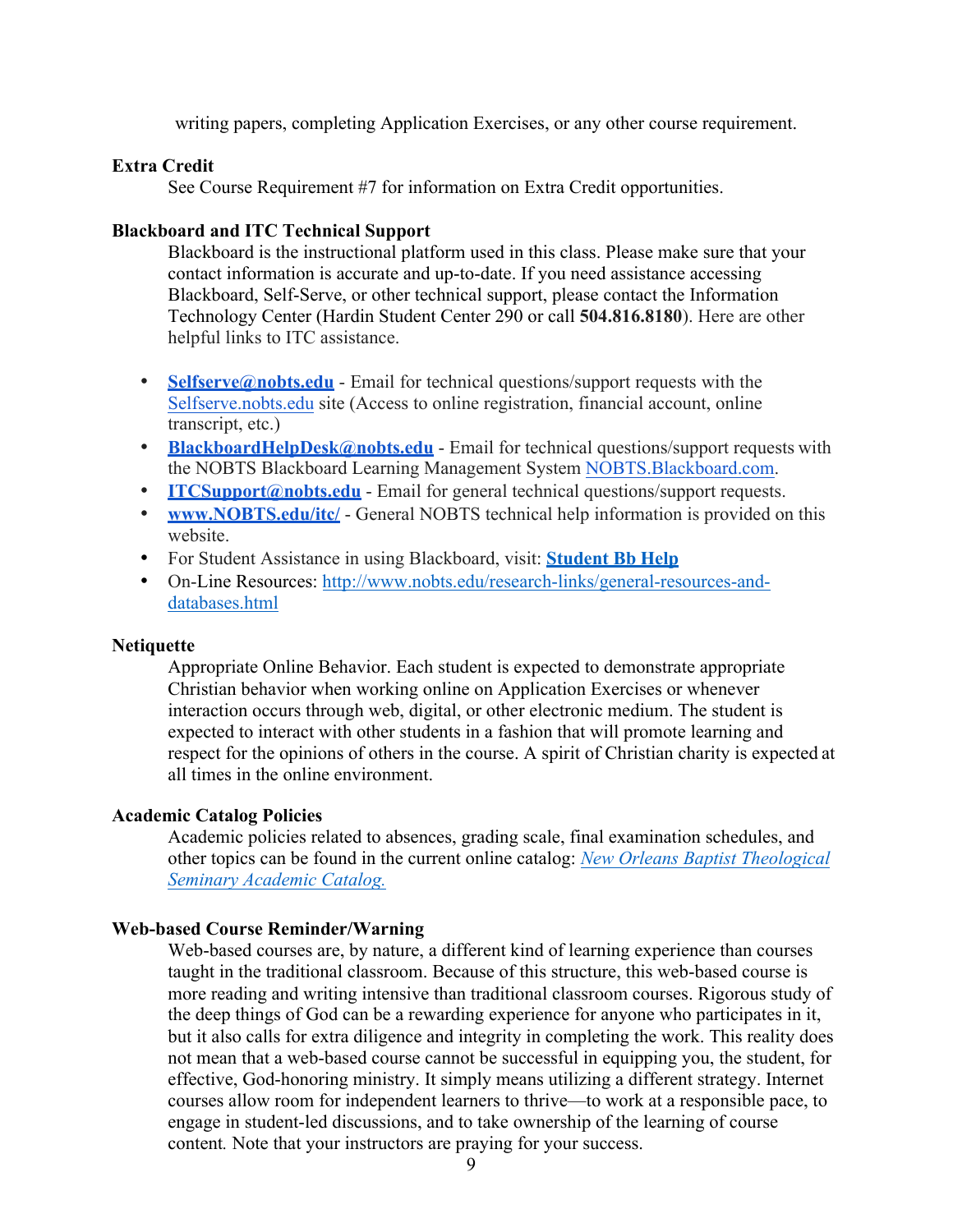writing papers, completing Application Exercises, or any other course requirement.

### **Extra Credit**

See Course Requirement #7 for information on Extra Credit opportunities.

### **Blackboard and ITC Technical Support**

Blackboard is the instructional platform used in this class. Please make sure that your contact information is accurate and up-to-date. If you need assistance accessing Blackboard, Self-Serve, or other technical support, please contact the Information Technology Center (Hardin Student Center 290 or call **504.816.8180**). Here are other helpful links to ITC assistance.

- **Selfserve@nobts.edu** Email for technical questions/support requests with the Selfserve.nobts.edu site (Access to online registration, financial account, online transcript, etc.)
- **BlackboardHelpDesk@nobts.edu** Email for technical questions/support requests with the NOBTS Blackboard Learning Management System NOBTS.Blackboard.com.
- **ITCSupport@nobts.edu** Email for general technical questions/support requests.<br>• www.NORTS.edu/itc/ General NORTS technical help information is provided or
- **www.NOBTS.edu/itc/** General NOBTS technical help information is provided on this website.
- For Student Assistance in using Blackboard, visit: **Student Bb Help**
- On-Line Resources: http://www.nobts.edu/research-links/general-resources-anddatabases.html

#### **Netiquette**

Appropriate Online Behavior. Each student is expected to demonstrate appropriate Christian behavior when working online on Application Exercises or whenever interaction occurs through web, digital, or other electronic medium. The student is expected to interact with other students in a fashion that will promote learning and respect for the opinions of others in the course. A spirit of Christian charity is expected at all times in the online environment.

### **Academic Catalog Policies**

Academic policies related to absences, grading scale, final examination schedules, and other topics can be found in the current online catalog: *New Orleans Baptist Theological Seminary Academic Catalog.*

### **Web-based Course Reminder/Warning**

Web-based courses are, by nature, a different kind of learning experience than courses taught in the traditional classroom. Because of this structure, this web-based course is more reading and writing intensive than traditional classroom courses. Rigorous study of the deep things of God can be a rewarding experience for anyone who participates in it, but it also calls for extra diligence and integrity in completing the work. This reality does not mean that a web-based course cannot be successful in equipping you, the student, for effective, God-honoring ministry. It simply means utilizing a different strategy. Internet courses allow room for independent learners to thrive—to work at a responsible pace, to engage in student-led discussions, and to take ownership of the learning of course content*.* Note that your instructors are praying for your success.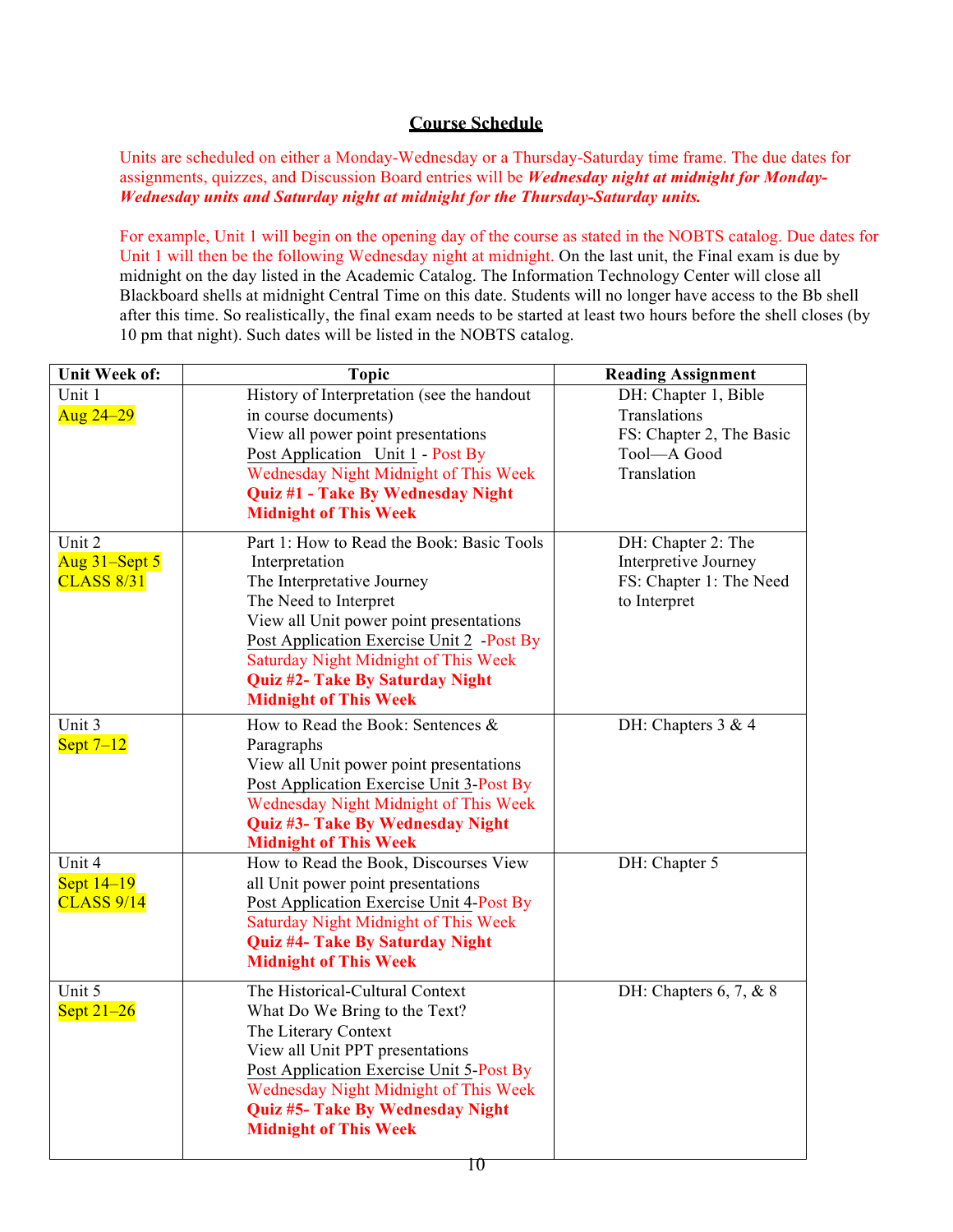### **Course Schedule**

Units are scheduled on either a Monday-Wednesday or a Thursday-Saturday time frame. The due dates for assignments, quizzes, and Discussion Board entries will be *Wednesday night at midnight for Monday-Wednesday units and Saturday night at midnight for the Thursday-Saturday units.* 

For example, Unit 1 will begin on the opening day of the course as stated in the NOBTS catalog. Due dates for Unit 1 will then be the following Wednesday night at midnight. On the last unit, the Final exam is due by midnight on the day listed in the Academic Catalog. The Information Technology Center will close all Blackboard shells at midnight Central Time on this date. Students will no longer have access to the Bb shell after this time. So realistically, the final exam needs to be started at least two hours before the shell closes (by 10 pm that night). Such dates will be listed in the NOBTS catalog.

| <b>Unit Week of:</b>                         | <b>Topic</b>                                                                                                                                                                                                                                                                                                           | <b>Reading Assignment</b>                                                                      |
|----------------------------------------------|------------------------------------------------------------------------------------------------------------------------------------------------------------------------------------------------------------------------------------------------------------------------------------------------------------------------|------------------------------------------------------------------------------------------------|
| Unit 1<br>Aug 24-29                          | History of Interpretation (see the handout<br>in course documents)<br>View all power point presentations<br>Post Application Unit 1 - Post By<br>Wednesday Night Midnight of This Week<br>Quiz #1 - Take By Wednesday Night<br><b>Midnight of This Week</b>                                                            | DH: Chapter 1, Bible<br>Translations<br>FS: Chapter 2, The Basic<br>Tool-A Good<br>Translation |
| Unit 2<br>Aug 31-Sept 5<br><b>CLASS 8/31</b> | Part 1: How to Read the Book: Basic Tools<br>Interpretation<br>The Interpretative Journey<br>The Need to Interpret<br>View all Unit power point presentations<br>Post Application Exercise Unit 2 - Post By<br>Saturday Night Midnight of This Week<br>Quiz #2- Take By Saturday Night<br><b>Midnight of This Week</b> | DH: Chapter 2: The<br>Interpretive Journey<br>FS: Chapter 1: The Need<br>to Interpret          |
| Unit 3<br>Sept $7-12$                        | How to Read the Book: Sentences &<br>Paragraphs<br>View all Unit power point presentations<br>Post Application Exercise Unit 3-Post By<br>Wednesday Night Midnight of This Week<br>Quiz #3- Take By Wednesday Night<br><b>Midnight of This Week</b>                                                                    | DH: Chapters 3 & 4                                                                             |
| Unit 4<br>Sept $14-19$<br><b>CLASS 9/14</b>  | How to Read the Book, Discourses View<br>all Unit power point presentations<br>Post Application Exercise Unit 4-Post By<br>Saturday Night Midnight of This Week<br>Quiz #4- Take By Saturday Night<br><b>Midnight of This Week</b>                                                                                     | DH: Chapter 5                                                                                  |
| Unit 5<br>Sept $21-26$                       | The Historical-Cultural Context<br>What Do We Bring to the Text?<br>The Literary Context<br>View all Unit PPT presentations<br>Post Application Exercise Unit 5-Post By<br>Wednesday Night Midnight of This Week<br>Quiz #5- Take By Wednesday Night<br><b>Midnight of This Week</b>                                   | DH: Chapters $6, 7, \& 8$                                                                      |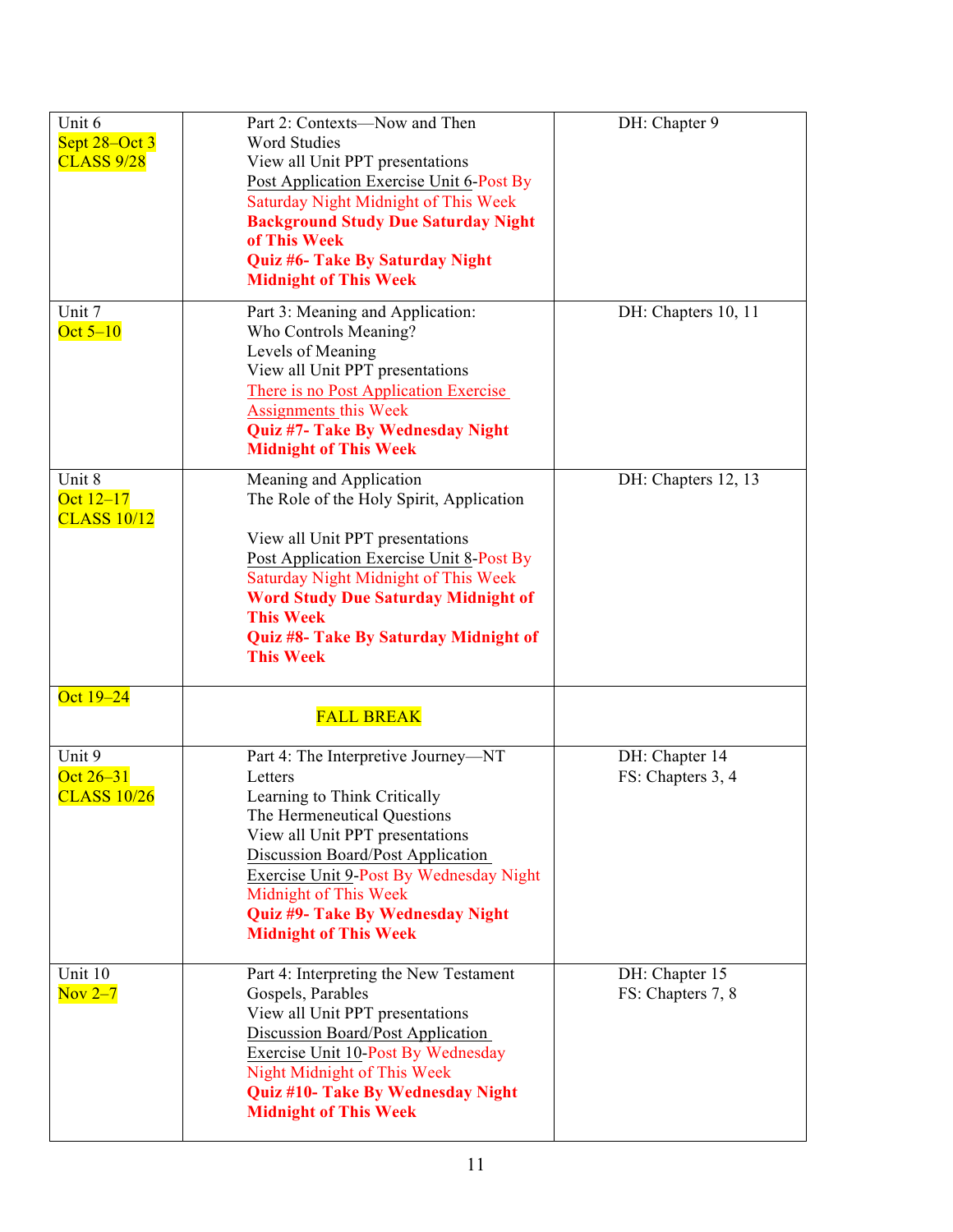| Unit 6<br>Sept 28–Oct 3<br><b>CLASS 9/28</b> | Part 2: Contexts-Now and Then<br><b>Word Studies</b><br>View all Unit PPT presentations<br>Post Application Exercise Unit 6-Post By<br><b>Saturday Night Midnight of This Week</b><br><b>Background Study Due Saturday Night</b><br>of This Week<br>Quiz #6- Take By Saturday Night<br><b>Midnight of This Week</b>                  | DH: Chapter 9                       |
|----------------------------------------------|--------------------------------------------------------------------------------------------------------------------------------------------------------------------------------------------------------------------------------------------------------------------------------------------------------------------------------------|-------------------------------------|
| Unit 7<br>Oct $5-10$                         | Part 3: Meaning and Application:<br>Who Controls Meaning?<br>Levels of Meaning<br>View all Unit PPT presentations<br>There is no Post Application Exercise<br><b>Assignments this Week</b><br>Quiz #7- Take By Wednesday Night<br><b>Midnight of This Week</b>                                                                       | DH: Chapters 10, 11                 |
| Unit 8<br>Oct $12-17$<br><b>CLASS 10/12</b>  | Meaning and Application<br>The Role of the Holy Spirit, Application<br>View all Unit PPT presentations<br>Post Application Exercise Unit 8-Post By<br><b>Saturday Night Midnight of This Week</b><br><b>Word Study Due Saturday Midnight of</b><br><b>This Week</b><br>Quiz #8- Take By Saturday Midnight of<br><b>This Week</b>     | DH: Chapters 12, 13                 |
| Oct 19-24                                    | <b>FALL BREAK</b>                                                                                                                                                                                                                                                                                                                    |                                     |
| Unit 9<br>Oct 26-31<br><b>CLASS 10/26</b>    | Part 4: The Interpretive Journey-NT<br>Letters<br>Learning to Think Critically<br>The Hermeneutical Questions<br>View all Unit PPT presentations<br><b>Discussion Board/Post Application</b><br>Exercise Unit 9-Post By Wednesday Night<br>Midnight of This Week<br>Quiz #9- Take By Wednesday Night<br><b>Midnight of This Week</b> | DH: Chapter 14<br>FS: Chapters 3, 4 |
| Unit 10<br>Nov $2-7$                         | Part 4: Interpreting the New Testament<br>Gospels, Parables<br>View all Unit PPT presentations<br>Discussion Board/Post Application<br><b>Exercise Unit 10-Post By Wednesday</b><br>Night Midnight of This Week<br>Quiz #10- Take By Wednesday Night<br><b>Midnight of This Week</b>                                                 | DH: Chapter 15<br>FS: Chapters 7, 8 |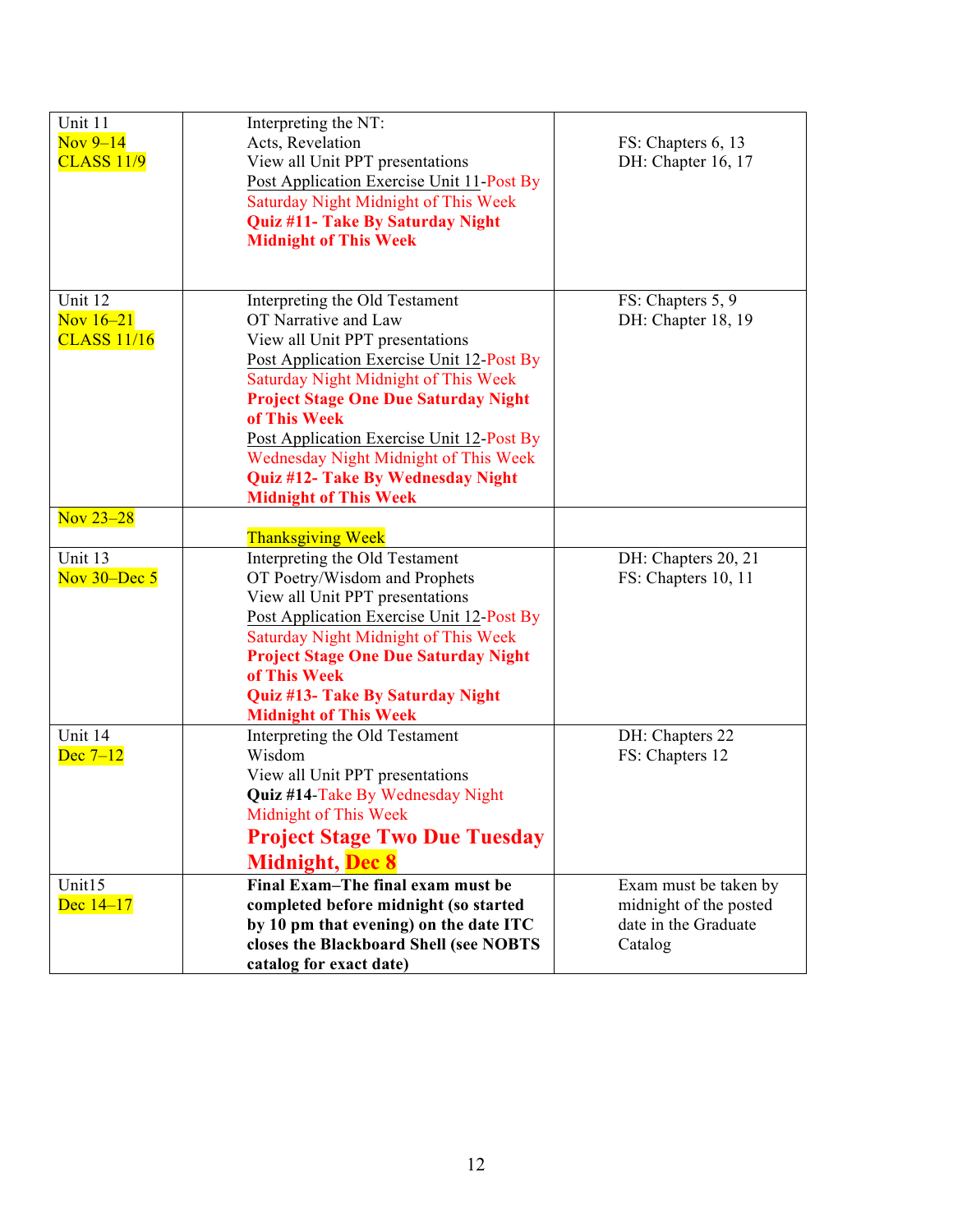| Unit 11<br>Nov $9-14$<br><b>CLASS 11/9</b>   | Interpreting the NT:<br>Acts, Revelation<br>View all Unit PPT presentations<br>Post Application Exercise Unit 11-Post By<br><b>Saturday Night Midnight of This Week</b><br>Quiz #11- Take By Saturday Night<br><b>Midnight of This Week</b>                                                                                                                                                              | FS: Chapters 6, 13<br>DH: Chapter 16, 17                                           |
|----------------------------------------------|----------------------------------------------------------------------------------------------------------------------------------------------------------------------------------------------------------------------------------------------------------------------------------------------------------------------------------------------------------------------------------------------------------|------------------------------------------------------------------------------------|
| Unit 12<br>Nov $16-21$<br><b>CLASS 11/16</b> | Interpreting the Old Testament<br>OT Narrative and Law<br>View all Unit PPT presentations<br>Post Application Exercise Unit 12-Post By<br>Saturday Night Midnight of This Week<br><b>Project Stage One Due Saturday Night</b><br>of This Week<br>Post Application Exercise Unit 12-Post By<br>Wednesday Night Midnight of This Week<br>Quiz #12- Take By Wednesday Night<br><b>Midnight of This Week</b> | FS: Chapters 5, 9<br>DH: Chapter 18, 19                                            |
| Nov 23-28                                    | <b>Thanksgiving Week</b>                                                                                                                                                                                                                                                                                                                                                                                 |                                                                                    |
| Unit 13<br>Nov $30 - Dec 5$                  | Interpreting the Old Testament<br>OT Poetry/Wisdom and Prophets<br>View all Unit PPT presentations<br>Post Application Exercise Unit 12-Post By<br>Saturday Night Midnight of This Week<br><b>Project Stage One Due Saturday Night</b><br>of This Week<br>Quiz #13- Take By Saturday Night<br><b>Midnight of This Week</b>                                                                               | DH: Chapters 20, 21<br>FS: Chapters 10, 11                                         |
| Unit 14<br>Dec $7-12$                        | Interpreting the Old Testament<br>Wisdom<br>View all Unit PPT presentations<br>Quiz #14-Take By Wednesday Night<br>Midnight of This Week<br><b>Project Stage Two Due Tuesday</b><br><b>Midnight, Dec 8</b>                                                                                                                                                                                               | DH: Chapters 22<br>FS: Chapters 12                                                 |
| Unit15<br>Dec $14-17$                        | Final Exam-The final exam must be<br>completed before midnight (so started<br>by 10 pm that evening) on the date ITC<br>closes the Blackboard Shell (see NOBTS<br>catalog for exact date)                                                                                                                                                                                                                | Exam must be taken by<br>midnight of the posted<br>date in the Graduate<br>Catalog |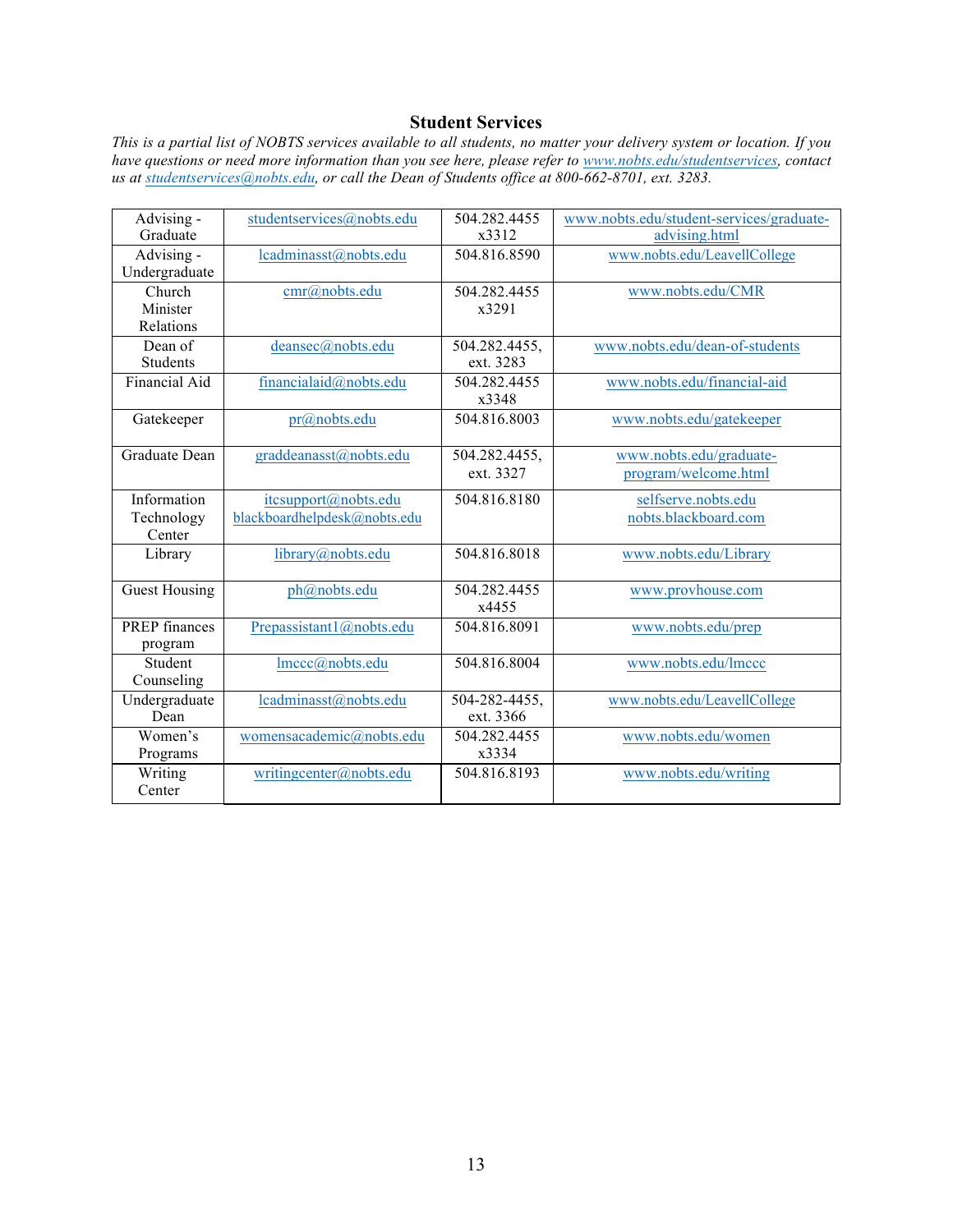### **Student Services**

*This is a partial list of NOBTS services available to all students, no matter your delivery system or location. If you have questions or need more information than you see here, please refer to www.nobts.edu/studentservices, contact us at studentservices@nobts.edu, or call the Dean of Students office at 800-662-8701, ext. 3283.*

| $\overline{A}$ dvising - | studentservices@nobts.edu    | 504.282.4455  | www.nobts.edu/student-services/graduate- |
|--------------------------|------------------------------|---------------|------------------------------------------|
| Graduate                 |                              | x3312         | advising.html                            |
| Advising -               | lcadminasst@nobts.edu        | 504.816.8590  | www.nobts.edu/LeavellCollege             |
| Undergraduate            |                              |               |                                          |
| Church                   | cmr@nobts.edu                | 504.282.4455  | www.nobts.edu/CMR                        |
| Minister                 |                              | x3291         |                                          |
| Relations                |                              |               |                                          |
| Dean of                  | deansec@nobts.edu            | 504.282.4455, | www.nobts.edu/dean-of-students           |
| <b>Students</b>          |                              | ext. 3283     |                                          |
| <b>Financial Aid</b>     | financialaid@nobts.edu       | 504.282.4455  | www.nobts.edu/financial-aid              |
|                          |                              | x3348         |                                          |
| Gatekeeper               | pr@nobts.edu                 | 504.816.8003  | www.nobts.edu/gatekeeper                 |
|                          |                              |               |                                          |
| Graduate Dean            | graddeanasst@nobts.edu       | 504.282.4455, | www.nobts.edu/graduate-                  |
|                          |                              | ext. 3327     | program/welcome.html                     |
| Information              | itcsupport@nobts.edu         | 504.816.8180  | selfserve.nobts.edu                      |
| Technology               | blackboardhelpdesk@nobts.edu |               | nobts.blackboard.com                     |
| Center                   |                              |               |                                          |
| Library                  | library@nobts.edu            | 504.816.8018  | www.nobts.edu/Library                    |
|                          |                              |               |                                          |
| <b>Guest Housing</b>     | ph@nobts.edu                 | 504.282.4455  | www.provhouse.com                        |
|                          |                              | x4455         |                                          |
| <b>PREP</b> finances     | Prepassistant1@nobts.edu     | 504.816.8091  | www.nobts.edu/prep                       |
| program                  |                              |               |                                          |
| Student                  | lmccc@nobts.edu              | 504.816.8004  | www.nobts.edu/lmccc                      |
| Counseling               |                              |               |                                          |
| Undergraduate            | lcadminasst@nobts.edu        | 504-282-4455, | www.nobts.edu/LeavellCollege             |
| Dean                     |                              | ext. 3366     |                                          |
| Women's                  | womensacademic@nobts.edu     | 504.282.4455  | www.nobts.edu/women                      |
| Programs                 |                              | x3334         |                                          |
| Writing                  | writingcenter@nobts.edu      | 504.816.8193  | www.nobts.edu/writing                    |
| Center                   |                              |               |                                          |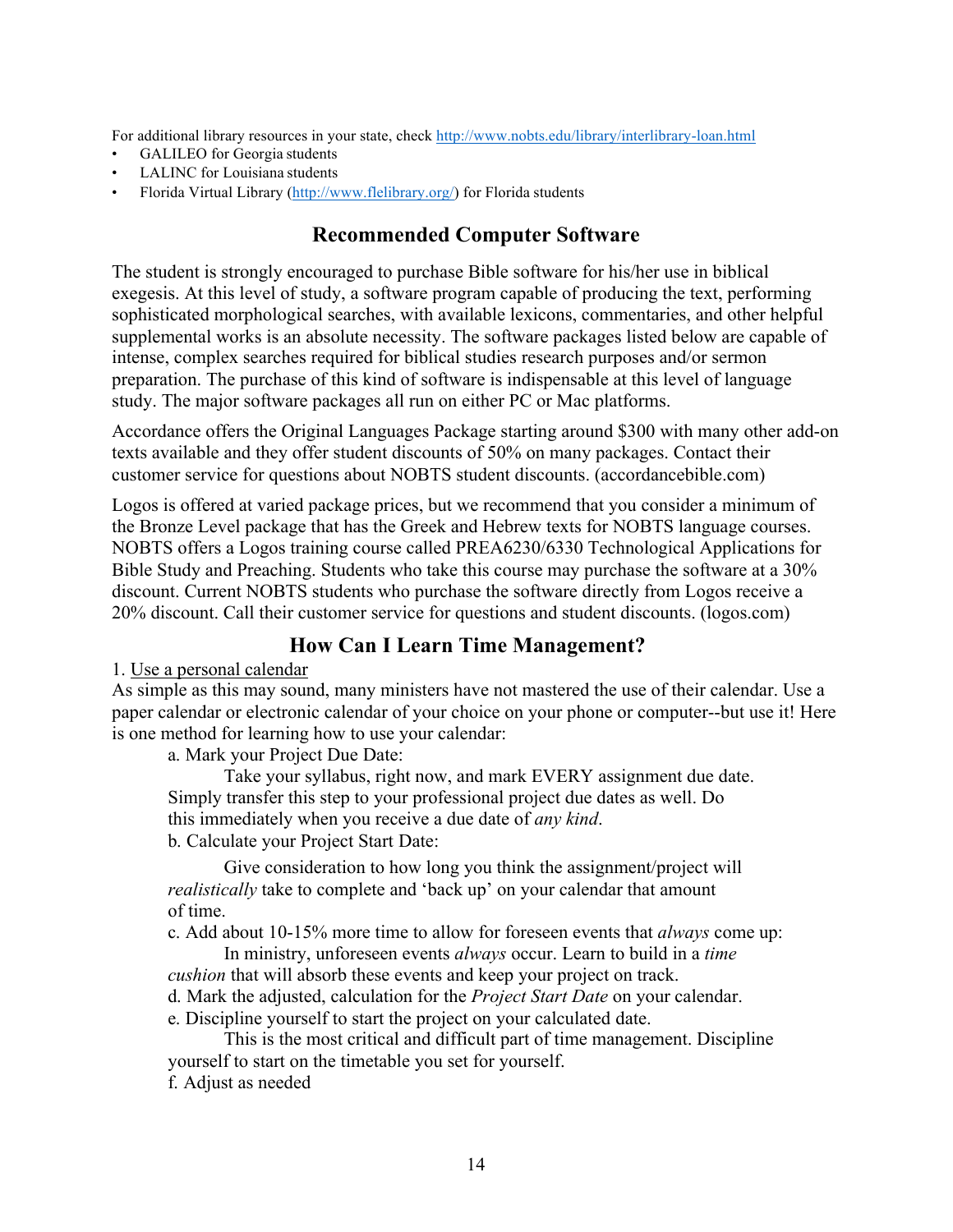For additional library resources in your state, check http://www.nobts.edu/library/interlibrary-loan.html

- GALILEO for Georgia students
- LALINC for Louisiana students
- Florida Virtual Library (http://www.flelibrary.org/) for Florida students

# **Recommended Computer Software**

The student is strongly encouraged to purchase Bible software for his/her use in biblical exegesis. At this level of study, a software program capable of producing the text, performing sophisticated morphological searches, with available lexicons, commentaries, and other helpful supplemental works is an absolute necessity. The software packages listed below are capable of intense, complex searches required for biblical studies research purposes and/or sermon preparation. The purchase of this kind of software is indispensable at this level of language study. The major software packages all run on either PC or Mac platforms.

Accordance offers the Original Languages Package starting around \$300 with many other add-on texts available and they offer student discounts of 50% on many packages. Contact their customer service for questions about NOBTS student discounts. (accordancebible.com)

Logos is offered at varied package prices, but we recommend that you consider a minimum of the Bronze Level package that has the Greek and Hebrew texts for NOBTS language courses. NOBTS offers a Logos training course called PREA6230/6330 Technological Applications for Bible Study and Preaching. Students who take this course may purchase the software at a 30% discount. Current NOBTS students who purchase the software directly from Logos receive a 20% discount. Call their customer service for questions and student discounts. (logos.com)

# **How Can I Learn Time Management?**

1. Use a personal calendar

As simple as this may sound, many ministers have not mastered the use of their calendar. Use a paper calendar or electronic calendar of your choice on your phone or computer--but use it! Here is one method for learning how to use your calendar:

a. Mark your Project Due Date:

Take your syllabus, right now, and mark EVERY assignment due date. Simply transfer this step to your professional project due dates as well. Do this immediately when you receive a due date of *any kind*. b. Calculate your Project Start Date:

Give consideration to how long you think the assignment/project will *realistically* take to complete and 'back up' on your calendar that amount of time.

c. Add about 10-15% more time to allow for foreseen events that *always* come up:

In ministry, unforeseen events *always* occur. Learn to build in a *time cushion* that will absorb these events and keep your project on track.

d. Mark the adjusted, calculation for the *Project Start Date* on your calendar.

e. Discipline yourself to start the project on your calculated date.

This is the most critical and difficult part of time management. Discipline yourself to start on the timetable you set for yourself.

f. Adjust as needed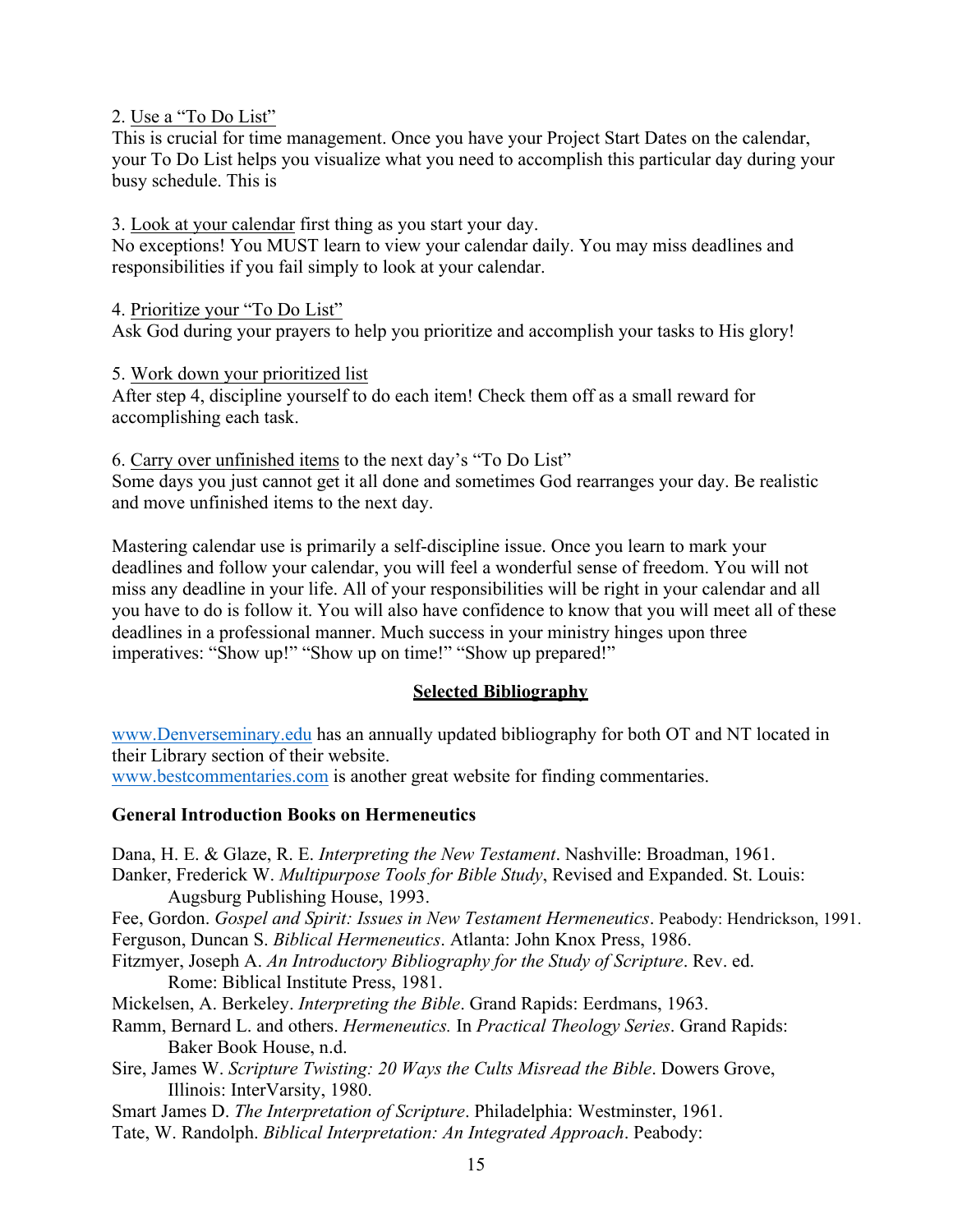### 2. Use a "To Do List"

This is crucial for time management. Once you have your Project Start Dates on the calendar, your To Do List helps you visualize what you need to accomplish this particular day during your busy schedule. This is

3. Look at your calendar first thing as you start your day.

No exceptions! You MUST learn to view your calendar daily. You may miss deadlines and responsibilities if you fail simply to look at your calendar.

4. Prioritize your "To Do List"

Ask God during your prayers to help you prioritize and accomplish your tasks to His glory!

5. Work down your prioritized list

After step 4, discipline yourself to do each item! Check them off as a small reward for accomplishing each task.

6. Carry over unfinished items to the next day's "To Do List" Some days you just cannot get it all done and sometimes God rearranges your day. Be realistic and move unfinished items to the next day.

Mastering calendar use is primarily a self-discipline issue. Once you learn to mark your deadlines and follow your calendar, you will feel a wonderful sense of freedom. You will not miss any deadline in your life. All of your responsibilities will be right in your calendar and all you have to do is follow it. You will also have confidence to know that you will meet all of these deadlines in a professional manner. Much success in your ministry hinges upon three imperatives: "Show up!" "Show up on time!" "Show up prepared!"

### **Selected Bibliography**

www.Denverseminary.edu has an annually updated bibliography for both OT and NT located in their Library section of their website.

www.bestcommentaries.com is another great website for finding commentaries.

### **General Introduction Books on Hermeneutics**

Dana, H. E. & Glaze, R. E. *Interpreting the New Testament*. Nashville: Broadman, 1961.

Danker, Frederick W. *Multipurpose Tools for Bible Study*, Revised and Expanded. St. Louis: Augsburg Publishing House, 1993.

Fee, Gordon. *Gospel and Spirit: Issues in New Testament Hermeneutics*. Peabody: Hendrickson, 1991. Ferguson, Duncan S. *Biblical Hermeneutics*. Atlanta: John Knox Press, 1986.

Fitzmyer, Joseph A. *An Introductory Bibliography for the Study of Scripture*. Rev. ed. Rome: Biblical Institute Press, 1981.

Mickelsen, A. Berkeley. *Interpreting the Bible*. Grand Rapids: Eerdmans, 1963.

- Ramm, Bernard L. and others. *Hermeneutics.* In *Practical Theology Series*. Grand Rapids: Baker Book House, n.d.
- Sire, James W. *Scripture Twisting: 20 Ways the Cults Misread the Bible*. Dowers Grove, Illinois: InterVarsity, 1980.

Smart James D. *The Interpretation of Scripture*. Philadelphia: Westminster, 1961.

Tate, W. Randolph. *Biblical Interpretation: An Integrated Approach*. Peabody: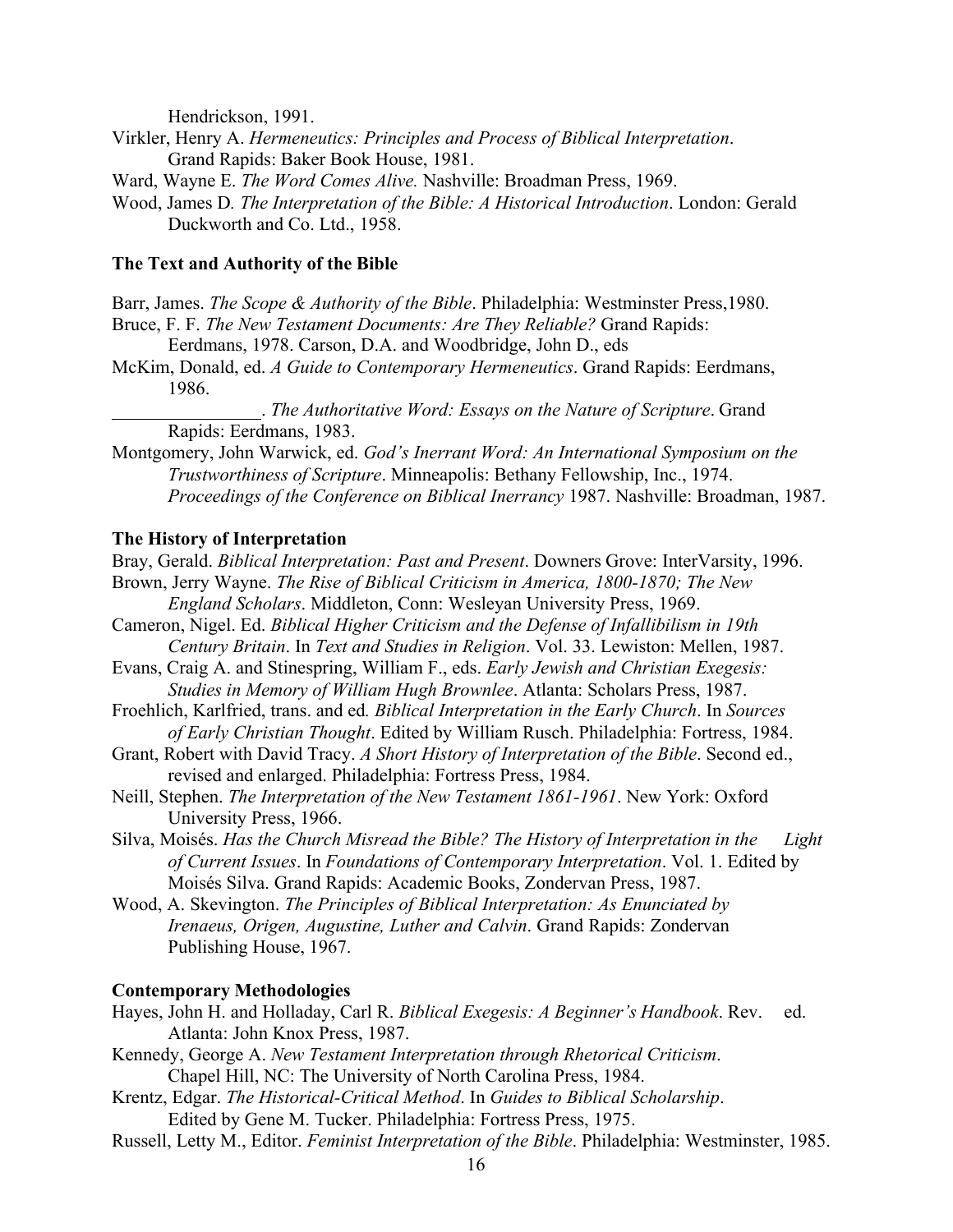Hendrickson, 1991.

- Virkler, Henry A. *Hermeneutics: Principles and Process of Biblical Interpretation*. Grand Rapids: Baker Book House, 1981.
- Ward, Wayne E. *The Word Comes Alive.* Nashville: Broadman Press, 1969.
- Wood, James D*. The Interpretation of the Bible: A Historical Introduction*. London: Gerald Duckworth and Co. Ltd., 1958.

#### **The Text and Authority of the Bible**

- Barr, James. *The Scope & Authority of the Bible*. Philadelphia: Westminster Press,1980.
- Bruce, F. F. *The New Testament Documents: Are They Reliable?* Grand Rapids:
	- Eerdmans, 1978. Carson, D.A. and Woodbridge, John D., eds
- McKim, Donald, ed. *A Guide to Contemporary Hermeneutics*. Grand Rapids: Eerdmans, 1986.

. *The Authoritative Word: Essays on the Nature of Scripture*. Grand Rapids: Eerdmans, 1983.

Montgomery, John Warwick, ed. *God's Inerrant Word: An International Symposium on the Trustworthiness of Scripture*. Minneapolis: Bethany Fellowship, Inc., 1974. *Proceedings of the Conference on Biblical Inerrancy* 1987. Nashville: Broadman, 1987.

#### **The History of Interpretation**

Bray, Gerald. *Biblical Interpretation: Past and Present*. Downers Grove: InterVarsity, 1996. Brown, Jerry Wayne. *The Rise of Biblical Criticism in America, 1800-1870; The New* 

- *England Scholars*. Middleton, Conn: Wesleyan University Press, 1969.
- Cameron, Nigel. Ed. *Biblical Higher Criticism and the Defense of Infallibilism in 19th Century Britain*. In *Text and Studies in Religion*. Vol. 33. Lewiston: Mellen, 1987.
- Evans, Craig A. and Stinespring, William F., eds. *Early Jewish and Christian Exegesis: Studies in Memory of William Hugh Brownlee*. Atlanta: Scholars Press, 1987.
- Froehlich, Karlfried, trans. and ed*. Biblical Interpretation in the Early Church*. In *Sources of Early Christian Thought*. Edited by William Rusch. Philadelphia: Fortress, 1984.
- Grant, Robert with David Tracy. *A Short History of Interpretation of the Bible*. Second ed., revised and enlarged. Philadelphia: Fortress Press, 1984.
- Neill, Stephen. *The Interpretation of the New Testament 1861-1961*. New York: Oxford University Press, 1966.
- Silva, Moisés. *Has the Church Misread the Bible? The History of Interpretation in the Light of Current Issues*. In *Foundations of Contemporary Interpretation*. Vol. 1. Edited by Moisés Silva. Grand Rapids: Academic Books, Zondervan Press, 1987.
- Wood, A. Skevington. *The Principles of Biblical Interpretation: As Enunciated by Irenaeus, Origen, Augustine, Luther and Calvin*. Grand Rapids: Zondervan Publishing House, 1967.

#### **Contemporary Methodologies**

- Hayes, John H. and Holladay, Carl R. *Biblical Exegesis: A Beginner's Handbook*. Rev. ed. Atlanta: John Knox Press, 1987.
- Kennedy, George A. *New Testament Interpretation through Rhetorical Criticism*. Chapel Hill, NC: The University of North Carolina Press, 1984.
- Krentz, Edgar. *The Historical-Critical Method*. In *Guides to Biblical Scholarship*. Edited by Gene M. Tucker. Philadelphia: Fortress Press, 1975.
- Russell, Letty M., Editor. *Feminist Interpretation of the Bible*. Philadelphia: Westminster, 1985.